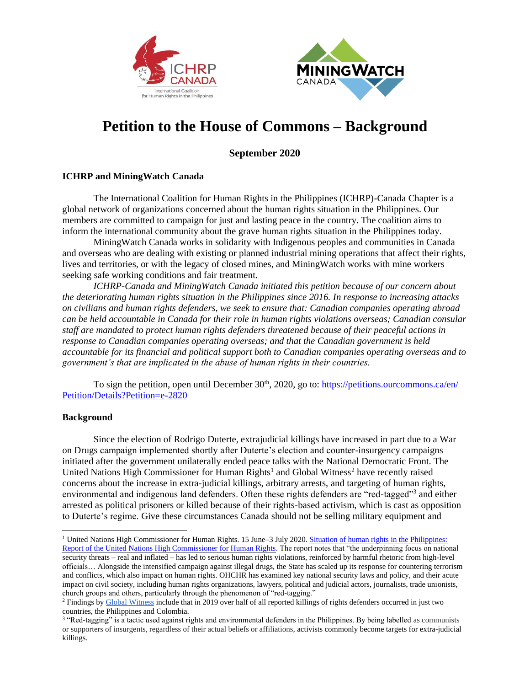



## **Petition to the House of Commons – Background**

**September 2020**

## **ICHRP and MiningWatch Canada**

The International Coalition for Human Rights in the Philippines (ICHRP)-Canada Chapter is a global network of organizations concerned about the human rights situation in the Philippines. Our members are committed to campaign for just and lasting peace in the country. The coalition aims to inform the international community about the grave human rights situation in the Philippines today.

MiningWatch Canada works in solidarity with Indigenous peoples and communities in Canada and overseas who are dealing with existing or planned industrial mining operations that affect their rights, lives and territories, or with the legacy of closed mines, and MiningWatch works with mine workers seeking safe working conditions and fair treatment.

*ICHRP-Canada and MiningWatch Canada initiated this petition because of our concern about the deteriorating human rights situation in the Philippines since 2016. In response to increasing attacks on civilians and human rights defenders, we seek to ensure that: Canadian companies operating abroad can be held accountable in Canada for their role in human rights violations overseas; Canadian consular staff are mandated to protect human rights defenders threatened because of their peaceful actions in response to Canadian companies operating overseas; and that the Canadian government is held accountable for its financial and political support both to Canadian companies operating overseas and to government's that are implicated in the abuse of human rights in their countries.*

To sign the petition, open until December 30<sup>th</sup>, 2020, go to: https://petitions.ourcommons.ca/en/ [Petition/Details?Petition=e-2820](https://petitions.ourcommons.ca/en/%20Petition/Details?Petition=e-2820)

## **Background**

Since the election of Rodrigo Duterte, extrajudicial killings have increased in part due to a War on Drugs campaign implemented shortly after Duterte's election and counter-insurgency campaigns initiated after the government unilaterally ended peace talks with the National Democratic Front. The United Nations High Commissioner for Human Rights<sup>1</sup> and Global Witness<sup>2</sup> have recently raised concerns about the increase in extra-judicial killings, arbitrary arrests, and targeting of human rights, environmental and indigenous land defenders. Often these rights defenders are "red-tagged"<sup>3</sup> and either arrested as political prisoners or killed because of their rights-based activism, which is cast as opposition to Duterte's regime. Give these circumstances Canada should not be selling military equipment and

<sup>&</sup>lt;sup>1</sup> United Nations High Commissioner for Human Rights. 15 June–3 July 2020. Situation of human rights in the Philippines: [Report of the United Nations High Commissioner for Human Rights.](https://www.ohchr.org/Documents/Countries/PH/Philippines-HRC44-AEV.pdf) The report notes that "the underpinning focus on national security threats – real and inflated – has led to serious human rights violations, reinforced by harmful rhetoric from high-level officials… Alongside the intensified campaign against illegal drugs, the State has scaled up its response for countering terrorism and conflicts, which also impact on human rights. OHCHR has examined key national security laws and policy, and their acute impact on civil society, including human rights organizations, lawyers, political and judicial actors, journalists, trade unionists, church groups and others, particularly through the phenomenon of "red-tagging."

<sup>&</sup>lt;sup>2</sup> Findings b[y Global Witness](https://www.globalwitness.org/documents/19938/Defending_Tomorrow_EN_high_res_-_July_2020.pdf) include that in 2019 over half of all reported killings of rights defenders occurred in just two countries, the Philippines and Colombia.

<sup>&</sup>lt;sup>3</sup> "Red-tagging" is a tactic used against rights and environmental defenders in the Philippines. By being labelled as communists or supporters of insurgents, regardless of their actual beliefs or affiliations, activists commonly become targets for extra-judicial killings.